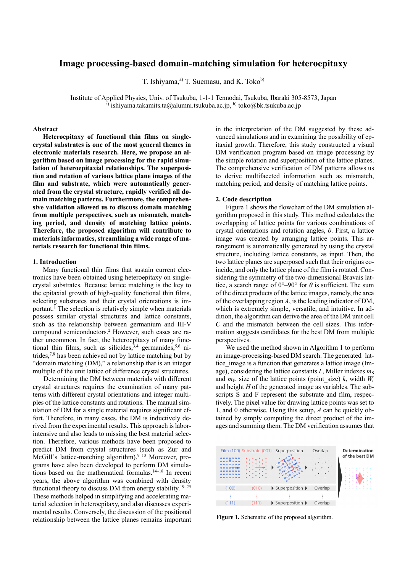# **Image processing-based domain-matching simulation for heteroepitaxy**

T. Ishiyama, $a$ <sup>2</sup>) T. Suemasu, and K. Toko<sup>b)</sup>

Institute of Applied Physics, Univ. of Tsukuba, 1-1-1 Tennodai, Tsukuba, Ibaraki 305-8573, Japan a) ishiyama.takamits.ta@alumni.tsukuba.ac.jp, b) toko@bk.tsukuba.ac.jp

# **Abstract**

**Heteroepitaxy of functional thin films on singlecrystal substrates is one of the most general themes in electronic materials research. Here, we propose an algorithm based on image processing for the rapid simulation of heteroepitaxial relationships. The superposition and rotation of various lattice plane images of the film and substrate, which were automatically generated from the crystal structure, rapidly verified all domain matching patterns. Furthermore, the comprehensive validation allowed us to discuss domain matching from multiple perspectives, such as mismatch, matching period, and density of matching lattice points. Therefore, the proposed algorithm will contribute to materials informatics, streamlining a wide range of materials research for functional thin films.** 

#### **1. Introduction**

Many functional thin films that sustain current electronics have been obtained using heteroepitaxy on singlecrystal substrates. Because lattice matching is the key to the epitaxial growth of high-quality functional thin films, selecting substrates and their crystal orientations is important.<sup>1</sup> The selection is relatively simple when materials possess similar crystal structures and lattice constants, such as the relationship between germanium and III-V compound semiconductors.2 However, such cases are rather uncommon. In fact, the heteroepitaxy of many functional thin films, such as silicides,  $3,4$  germanides,  $5,6$  nitrides,7,8 has been achieved not by lattice matching but by "domain matching (DM)," a relationship that is an integer multiple of the unit lattice of difference crystal structures.

Determining the DM between materials with different crystal structures requires the examination of many patterns with different crystal orientations and integer multiples of the lattice constants and rotations. The manual simulation of DM for a single material requires significant effort. Therefore, in many cases, the DM is inductively derived from the experimental results. This approach is laborintensive and also leads to missing the best material selection. Therefore, various methods have been proposed to predict DM from crystal structures (such as Zur and McGill's lattice-matching algorithm). $9-13$  Moreover, programs have also been developed to perform DM simulations based on the mathematical formulas.<sup>14–18</sup> In recent years, the above algorithm was combined with density functional theory to discuss DM from energy stability.<sup>19–25</sup> These methods helped in simplifying and accelerating material selection in heteroepitaxy, and also discusses experimental results. Conversely, the discussion of the positional relationship between the lattice planes remains important in the interpretation of the DM suggested by these advanced simulations and in examining the possibility of epitaxial growth. Therefore, this study constructed a visual DM verification program based on image processing by the simple rotation and superposition of the lattice planes. The comprehensive verification of DM patterns allows us to derive multifaceted information such as mismatch, matching period, and density of matching lattice points.

#### **2. Code description**

Figure 1 shows the flowchart of the DM simulation algorithm proposed in this study. This method calculates the overlapping of lattice points for various combinations of crystal orientations and rotation angles, *θ*. First, a lattice image was created by arranging lattice points. This arrangement is automatically generated by using the crystal structure, including lattice constants, as input. Then, the two lattice planes are superposed such that their origins coincide, and only the lattice plane of the film is rotated. Considering the symmetry of the two-dimensional Bravais lattice, a search range of  $0^{\circ}$ –90° for  $\theta$  is sufficient. The sum of the direct products of the lattice images, namely, the area of the overlapping region *A*, is the leading indicator of DM, which is extremely simple, versatile, and intuitive. In addition, the algorithm can derive the area of the DM unit cell *C* and the mismatch between the cell sizes. This information suggests candidates for the best DM from multiple perspectives.

We used the method shown in Algorithm 1 to perform an image-processing-based DM search. The generated\_lattice image is a function that generates a lattice image (Image), considering the lattice constants *L*, Miller indexes  $m<sub>S</sub>$ and  $m_F$ , size of the lattice points (point size) *k*, width *W*, and height *H* of the generated image as variables. The subscripts S and F represent the substrate and film, respectively. The pixel value for drawing lattice points was set to 1, and 0 otherwise. Using this setup, *A* can be quickly obtained by simply computing the direct product of the images and summing them. The DM verification assumes that



Figure 1. Schematic of the proposed algorithm.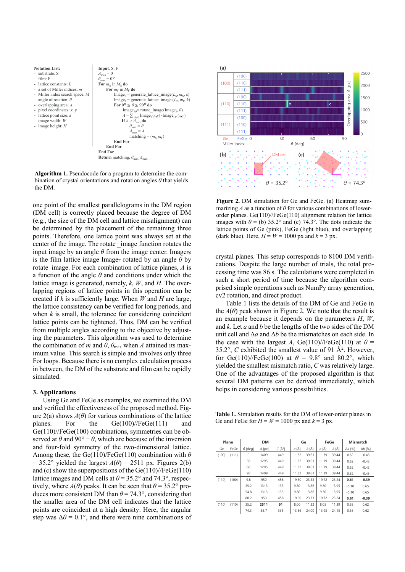

**Algorithm 1.** Pseudocode for a program to determine the combination of crystal orientations and rotation angles *θ* that yields the DM.

one point of the smallest parallelograms in the DM region (DM cell) is correctly placed because the degree of DM (e.g., the size of the DM cell and lattice misalignment) can be determined by the placement of the remaining three points. Therefore, one lattice point was always set at the center of the image. The rotate \_image function rotates the input image by an angle  $\theta$  from the image center. Image<sub>F $\theta$ </sub> is the film lattice image Image<sub>F</sub> rotated by an angle  $\theta$  by rotate image. For each combination of lattice planes, *A* is a function of the angle *θ* and conditions under which the lattice image is generated, namely, *k*, *W*, and *H*. The overlapping regions of lattice points in this operation can be created if *k* is sufficiently large. When *W* and *H* are large, the lattice consistency can be verified for long periods, and when *k* is small, the tolerance for considering coincident lattice points can be tightened. Thus, DM can be verified from multiple angles according to the objective by adjusting the parameters. This algorithm was used to determine the combination of *m* and  $\theta$ ,  $\theta_{\text{max}}$  when *A* attained its maximum value. This search is simple and involves only three For loops. Because there is no complex calculation process in between, the DM of the substrate and film can be rapidly simulated.

# **3. Applications**

Using Ge and FeGe as examples, we examined the DM and verified the effectiveness of the proposed method. Figure  $2(a)$  shows  $A(\theta)$  for various combinations of the lattice planes. For the Ge(100)//FeGe(111) and Ge(110)//FeGe(100) combinations, symmetries can be observed at  $\theta$  and 90° −  $\theta$ , which are because of the inversion and four-fold symmetry of the two-dimensional lattice. Among these, the Ge(110)/FeGe(110) combination with *θ*  $= 35.2^{\circ}$  yielded the largest  $A(\theta) = 2511$  px. Figures 2(b) and (c) show the superpositions of the Ge(110)//FeGe(110) lattice images and DM cells at  $\theta$  = 35.2° and 74.3°, respectively, where  $A(\theta)$  peaks. It can be seen that  $\theta = 35.2^{\circ}$  produces more consistent DM than  $\theta$  = 74.3°, considering that the smaller area of the DM cell indicates that the lattice points are coincident at a high density. Here, the angular step was  $\Delta\theta = 0.1^{\circ}$ , and there were nine combinations of



**Figure 2.** DM simulation for Ge and FeGe. (a) Heatmap summarizing *A* as a function of *θ* for various combinations of lowerorder planes. Ge(110)//FeGe(110) alignment relation for lattice images with  $\theta$  = (b) 35.2° and (c) 74.3°. The dots indicate the lattice points of Ge (pink), FeGe (light blue), and overlapping (dark blue). Here,  $H = W = 1000$  px and  $k = 3$  px.

crystal planes. This setup corresponds to 8100 DM verifications. Despite the large number of trials, the total processing time was 86 s. The calculations were completed in such a short period of time because the algorithm comprised simple operations such as NumPy array generation, cv2 rotation, and direct product.

Table 1 lists the details of the DM of Ge and FeGe in the  $A(\theta)$  peak shown in Figure 2. We note that the result is an example because it depends on the parameters *H*, *W*, and *k*. Let *a* and *b* be the lengths of the two sides of the DM unit cell and Δ*a* and Δ*b* be the mismatches on each side. In the case with the largest *A*, Ge(110)//FeGe(110) at  $\theta$  = 35.2°,  $C$  exhibited the smallest value of 91  $\AA$ <sup>2</sup>. However, for Ge(110)//FeGe(100) at  $\theta = 9.8^{\circ}$  and 80.2°, which yielded the smallest mismatch ratio, *C* was relatively large. One of the advantages of the proposed algorithm is that several DM patterns can be derived immediately, which helps in considering various possibilities.

**Table 1.** Simulation results for the DM of lower-order planes in Ge and FeGe for  $H = W = 1000$  px and  $k = 3$  px.

| Plane |       | <b>DM</b> |                |          | Ge         |       | FeGe    |       | <b>Mismatch</b> |                |                |
|-------|-------|-----------|----------------|----------|------------|-------|---------|-------|-----------------|----------------|----------------|
|       | Ge    | FeGe      | $\theta$ [deg] | $A$ [px] | $C[\AA^2]$ | a [Å] | $b$ [Å] | a [Å] | b [Å]           | $\Delta a$ [%] | $\Delta b$ [%] |
|       | (100) | (111)     | $\mathbf 0$    | 1409     | 449        | 11.32 | 39.61   | 11.39 | 39.44           | 0.62           | $-0.43$        |
|       |       |           | 30             | 1295     | 449        | 11.32 | 39.61   | 11.39 | 39.44           | 0.62           | $-0.43$        |
|       |       |           | 60             | 1295     | 449        | 11.32 | 39.61   | 11.39 | 39.44           | 0.62           | $-0.43$        |
|       |       |           | 90             | 1409     | 449        | 11.32 | 39.61   | 11.39 | 39.44           | 0.62           | $-0.43$        |
|       | (110) | (100)     | 9.8            | 950      | 458        | 19.60 | 23.33   | 19.72 | 23.24           | 0.61           | $-0.39$        |
|       |       |           | 35.2           | 1313     | 133        | 9.80  | 13.86   | 9.30  | 13.95           | $-5.10$        | 0.65           |
|       |       |           | 54.8           | 1313     | 133        | 9.80  | 13.86   | 9.30  | 13.95           | $-5.10$        | 0.65           |
|       |       |           | 80.2           | 950      | 458        | 19.60 | 23.33   | 19.72 | 23.24           | 0.61           | $-0.39$        |
|       | (110) | (110)     | 35.2           | 2511     | 91         | 8.00  | 11.32   | 8.05  | 11.39           | 0.63           | 0.62           |
|       |       |           | 74.3           | 83.7     | 335        | 13.86 | 24.00   | 13.95 | 24.15           | 0.65           | 0.62           |